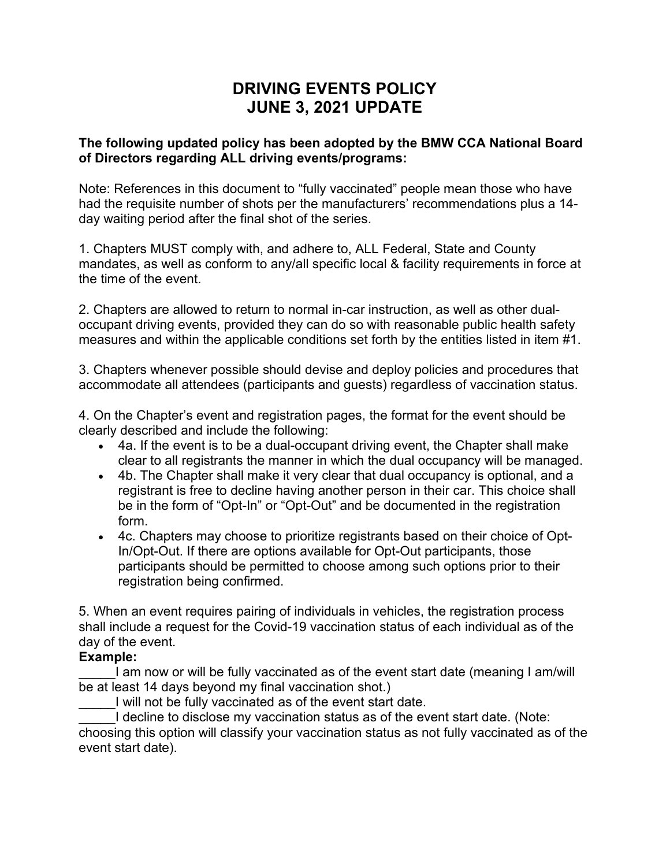## **DRIVING EVENTS POLICY JUNE 3, 2021 UPDATE**

## **The following updated policy has been adopted by the BMW CCA National Board of Directors regarding ALL driving events/programs:**

Note: References in this document to "fully vaccinated" people mean those who have had the requisite number of shots per the manufacturers' recommendations plus a 14 day waiting period after the final shot of the series.

1. Chapters MUST comply with, and adhere to, ALL Federal, State and County mandates, as well as conform to any/all specific local & facility requirements in force at the time of the event.

2. Chapters are allowed to return to normal in-car instruction, as well as other dualoccupant driving events, provided they can do so with reasonable public health safety measures and within the applicable conditions set forth by the entities listed in item #1.

3. Chapters whenever possible should devise and deploy policies and procedures that accommodate all attendees (participants and guests) regardless of vaccination status.

4. On the Chapter's event and registration pages, the format for the event should be clearly described and include the following:

- 4a. If the event is to be a dual-occupant driving event, the Chapter shall make clear to all registrants the manner in which the dual occupancy will be managed.
- 4b. The Chapter shall make it very clear that dual occupancy is optional, and a registrant is free to decline having another person in their car. This choice shall be in the form of "Opt-In" or "Opt-Out" and be documented in the registration form.
- 4c. Chapters may choose to prioritize registrants based on their choice of Opt-In/Opt-Out. If there are options available for Opt-Out participants, those participants should be permitted to choose among such options prior to their registration being confirmed.

5. When an event requires pairing of individuals in vehicles, the registration process shall include a request for the Covid-19 vaccination status of each individual as of the day of the event.

## **Example:**

I am now or will be fully vaccinated as of the event start date (meaning I am/will be at least 14 days beyond my final vaccination shot.)

I will not be fully vaccinated as of the event start date.

I decline to disclose my vaccination status as of the event start date. (Note: choosing this option will classify your vaccination status as not fully vaccinated as of the event start date).